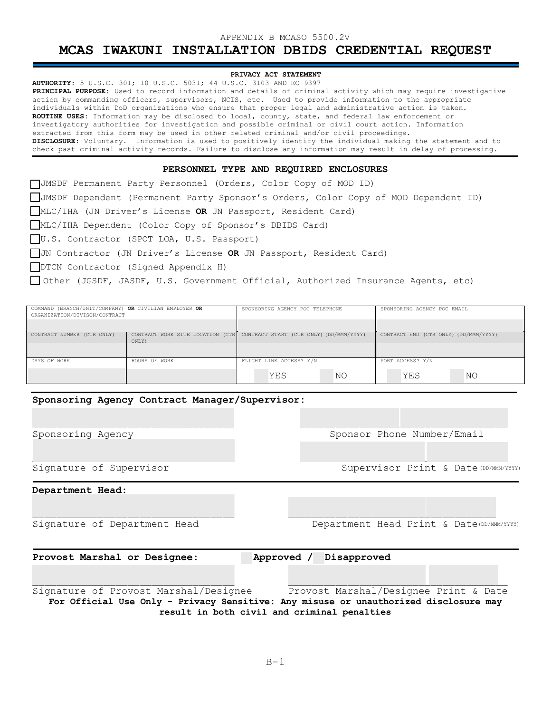### APPENDIX B MCASO 5500.2V

## **MCAS IWAKUNI INSTALLATION DBIDS CREDENTIAL REQUEST**

### **PRIVACY ACT STATEMENT**

**AUTHORITY:** 5 U.S.C. 301; 10 U.S.C. 5031; 44 U.S.C. 3103 AND EO 9397 **PRINCIPAL PURPOSE:** Used to record information and details of criminal activity which may require investigative action by commanding officers, supervisors, NCIS, etc. Used to provide information to the appropriate individuals within DoD organizations who ensure that proper legal and administrative action is taken. **ROUTINE USES:** Information may be disclosed to local, county, state, and federal law enforcement or investigatory authorities for investigation and possible criminal or civil court action. Information extracted from this form may be used in other related criminal and/or civil proceedings. **DISCLOSURE:** Voluntary. Information is used to positively identify the individual making the statement and to check past criminal activity records. Failure to disclose any information may result in delay of processing.

#### **PERSONNEL TYPE AND REQUIRED ENCLOSURES**

| JUMSDF Permanent Party Personnel (Orders, Color Copy of MOD ID)                     |  |  |  |  |  |
|-------------------------------------------------------------------------------------|--|--|--|--|--|
| JJMSDF Dependent (Permanent Party Sponsor's Orders, Color Copy of MOD Dependent ID) |  |  |  |  |  |
| MLC/IHA (JN Driver's License OR JN Passport, Resident Card)                         |  |  |  |  |  |
| MLC/IHA Dependent (Color Copy of Sponsor's DBIDS Card)                              |  |  |  |  |  |
| □U.S. Contractor (SPOT LOA, U.S. Passport)                                          |  |  |  |  |  |
| JJN Contractor (JN Driver's License OR JN Passport, Resident Card)                  |  |  |  |  |  |
| □ DTCN Contractor (Signed Appendix H)                                               |  |  |  |  |  |
| Other (JGSDF, JASDF, U.S. Government Official, Authorized Insurance Agents, etc)    |  |  |  |  |  |

| COMMAND (BRANCH/UNIT/COMPANY) OR CIVILIAN EMPLOYER OR<br>ORGANIZATION/DIVISON/CONTRACT |                                            | SPONSORING AGENCY POC TELEPHONE         |     |                                       | SPONSORING AGENCY POC EMAIL |     |    |
|----------------------------------------------------------------------------------------|--------------------------------------------|-----------------------------------------|-----|---------------------------------------|-----------------------------|-----|----|
|                                                                                        |                                            |                                         |     |                                       |                             |     |    |
| CONTRACT NUMBER (CTR ONLY)                                                             | CONTRACT WORK SITE LOCATION (CTR)<br>ONLY) | CONTRACT START (CTR ONLY) (DD/MMM/YYYY) |     | CONTRACT END (CTR ONLY) (DD/MMM/YYYY) |                             |     |    |
|                                                                                        |                                            |                                         |     |                                       |                             |     |    |
| DAYS OF WORK                                                                           | HOURS OF WORK                              | FLIGHT LINE ACCESS? Y/N                 |     | PORT ACCESS? Y/N                      |                             |     |    |
|                                                                                        |                                            |                                         | YES | ΝO                                    |                             | YES | NO |

## **Sponsoring Agency Contract Manager/Supervisor:**

Sponsoring Agency Sponsor Phone Number/Email

Signature of Supervisor Controller Controller and Supervisor Print & Date (DD/MMM/YYYY)

**Department Head:**

Signature of Department Head **Department Head Print & Date (DD/MMM/YYYY**)

**Provost Marshal or Designee: Approved / Disapproved**

Signature of Provost Marshal/Designee Provost Marshal/Designee Print & Date **For Official Use Only - Privacy Sensitive: Any misuse or unauthorized disclosure may result in both civil and criminal penalties**